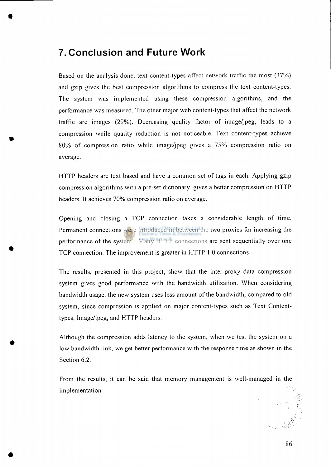## **7. Conclusion and Future Work**

Based on the analysis done, text content-types affect network traffic the most (37%) and gzip gives the best compression algorithms to compress the text content-types. The system was implemented using these compression algorithms, and the performance was measured. The other major web content-types that affect the network traffic are images (29%). Decreasing quality factor of image/jpeg, leads to a compression while quality reduction is not noticeable. Text content-types achieve 80% of compression ratio while image/jpeg gives a 75% compression ratio on average.

HTTP headers are text based and have a common set of tags in each. Applying gzip compression algorithms with a pre-set dictionary, gives a better compression on HTTP headers. It achieves 70% compression ratio on average.

Opening and closing a TCP connection takes a considerable length of time. Permanent connections were introduced in between the two proxies for increasing the performance of the system. Many HTTP connections are sent sequentially over one TCP connection. The improvement is greater in HTTP 1.0 connections.

The results, presented in this project, show that the inter-proxy data compression system gives good performance with the bandwidth utilization. When considering bandwidth usage, the new system uses less amount of the bandwidth, compared to old system, since compression is applied on major content-types such as Text Contenttypes, Image/jpeg, and HTTP headers.

Although the compression adds latency to the system, when we test the system on a low bandwidth link, we get better performance with the response time as shown in the Section 6.2.

From the results, it can be said that memory management is well-managed in the implementation.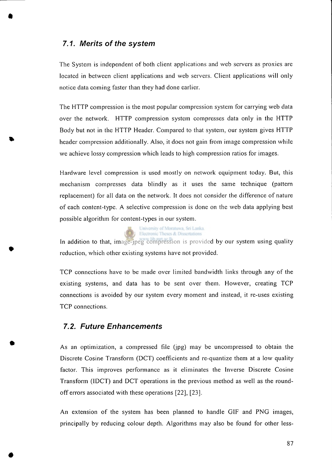## *7.1. Merits of the system*

The System is independent of both client applications and web servers as proxies are located in between client applications and web servers. Client applications will only notice data coming faster than they had done earlier.

The HTTP compression is the most popular compression system for carrying web data over the network. HTTP compression system compresses data only in the HTTP Body but not in the HTTP Header. Compared to that system, our system gives HTTP header compression additionally. Also, it does not gain from image compression while we achieve lossy compression which leads to high compression ratios for images.

Hardware level compression is used mostly on network equipment today. But, this mechanism compresses data blindly as it uses the same technique (pattern replacement) for all data on the network. It does not consider the difference of nature of each content-type. A selective compression is done on the web data applying best possible algorithm for content-types in our system.

> University of Moratuwa, Sri Lanka. Electronic Theses & Dissertations

In addition to that, image-jpeg compression is provided by our system using quality reduction, which other existing systems have not provided.

TCP connections have to be made over limited bandwidth links through any of the existing systems, and data has to be sent over them. However, creating TCP connections is avoided by our system every moment and instead, it re-uses existing TCP connections.

## *7.2. Future Enhancements*

As an optimization, a compressed file ( $\{pp\}$ ) may be uncompressed to obtain the Discrete Cosine Transform (DCT) coefficients and re-quantize them at a low quality factor. This improves performance as it eliminates the Inverse Discrete Cosine Transform (IDCT) and DCT operations in the previous method as well as the roundoff errors associated with these operations  $[22]$ ,  $[23]$ .

An extension of the system has been planned to handle GIF and PNG images, principally by reducing colour depth. Algorithms may also be found for other less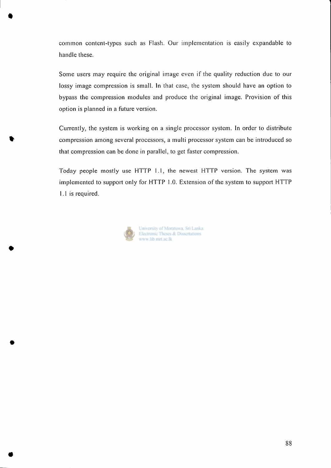common content-types such as Flash. Our implementation is easily expandable to handle these.

Some users may require the original image even if the quality reduction due to our lossy image compression is small. In that case, the system should have an option to bypass the compression modules and produce the original image. Provision of this option is planned in a future version.

Currently, the system is working on a single processor system. In order to distribute compression among several processors, a multi processor system can be introduced so that compression can be done in parallel, to get faster compression.

Today people mostly use HTTP 1.1, the newest HTTP version. The system was implemented to support only for HTTP 1.0. Extension of the system to support HTTP 1.1 is required.



University of Moratuwa, Sri Lanka. Electronic Theses & Dissertations www.lib.mrt.ac.lk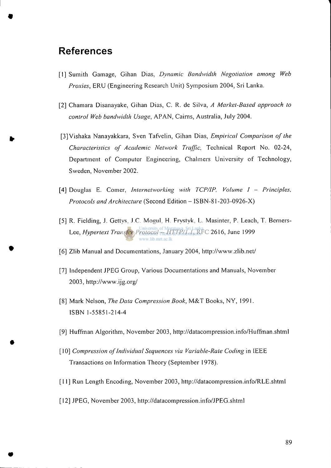## **Reference s**

- [1] Sumith Gamage, Gihan Dias, *Dynamic Bandwidth Negotiation among Web Proxies,* ERU (Engineering Research Unit) Symposium 2004, Sri Lanka.
- [2] Chamara Disanayake, Gihan Dias, C. R. de Silva, A Market-Based approach to *control Web bandwidth Usage, APAN, Cairns, Australia, July 2004.*
- [3] Vishaka Nanayakkara, Sven Tafvelin, Gihan Dias, *Empirical Comparison of the Characteristics of Academic Network Traffic*, Technical Report No. 02-24, Department of Computer Engineering, Chalmers University of Technology, Sweden, November 2002.
- [4] Douglas E. Comer, *Internetworking with TCP/IP*, *Volume I Principles*, *Protocols and Architecture* (Second Edition – ISBN-81-203-0926-X)
- [5] R. Fielding, J. Gettys, J.C. Mogul, H. Frystyk, L. Masinter, P. Leach, T. Berners-Lee, *Hypertext Transfer Protocol - HTTP/1.1*, RFC 2616, June 1999 www.lib.mrt.ac.lk
- [6] Zlib Manual and Documentations, January 2004, http://www.zlib.net/
- [7] Independent JPEG Group, Various Documentations and Manuals, November 2003, [http://www.ijg.org](http://www.ijg.org/)/
- [8] Mark Nelson, *The Data Compression Book*, M&T Books, NY, 1991. ISBN 1-55851-214-4
- [9] Huffman Algorithm, November 2003, <http://datacompression.info/Huffman.shtml>
- [10] *Compression of Individual Sequences via Variable-Rate Coding* in IEEE Transactions on Information Theory (September 1978).
- [11] Run Length Encoding, November 2003, http://datacompression.info/RLE.shtml
- [12] JPEG, November 2003, <http://datacompression.info/JPEG.shtml>